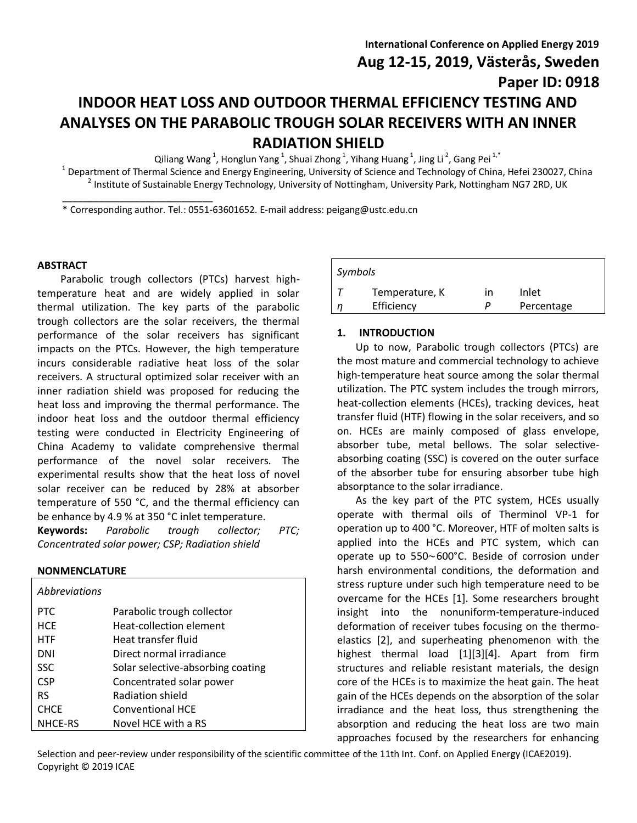**Aug 12-15, 2019, Västerås, Sweden**

# **INDOOR HEAT LOSS AND OUTDOOR THERMAL EFFICIENCY TESTING AND ANALYSES ON THE PARABOLIC TROUGH SOLAR RECEIVERS WITH AN INNER RADIATION SHIELD**

Qiliang Wang<sup>1</sup>, Honglun Yang<sup>1</sup>, Shuai Zhong<sup>1</sup>, Yihang Huang<sup>1</sup>, Jing Li<sup>2</sup>, Gang Pei<sup>1,\*</sup>

<sup>1</sup> Department of Thermal Science and Energy Engineering, University of Science and Technology of China, Hefei 230027, China <sup>2</sup> Institute of Sustainable Energy Technology, University of Nottingham, University Park, Nottingham NG7 2RD, UK

\* Corresponding author. Tel.: 0551-63601652. E-mail address: peigang@ustc.edu.cn

# **ABSTRACT**

Parabolic trough collectors (PTCs) harvest hightemperature heat and are widely applied in solar thermal utilization. The key parts of the parabolic trough collectors are the solar receivers, the thermal performance of the solar receivers has significant impacts on the PTCs. However, the high temperature incurs considerable radiative heat loss of the solar receivers. A structural optimized solar receiver with an inner radiation shield was proposed for reducing the heat loss and improving the thermal performance. The indoor heat loss and the outdoor thermal efficiency testing were conducted in Electricity Engineering of China Academy to validate comprehensive thermal performance of the novel solar receivers. The experimental results show that the heat loss of novel solar receiver can be reduced by 28% at absorber temperature of 550 °C, and the thermal efficiency can be enhance by 4.9 % at 350 °C inlet temperature.

\_\_\_\_\_\_\_\_\_\_\_\_\_\_\_\_\_\_\_\_\_\_\_\_\_\_\_\_\_

**Keywords:** *Parabolic trough collector; PTC; Concentrated solar power; CSP; Radiation shield*

# **NONMENCLATURE**

| <i>Abbreviations</i> |                                   |
|----------------------|-----------------------------------|
| PTC.                 | Parabolic trough collector        |
| <b>HCF</b>           | Heat-collection element           |
| <b>HTF</b>           | Heat transfer fluid               |
| DNI                  | Direct normal irradiance          |
| <b>SSC</b>           | Solar selective-absorbing coating |
| <b>CSP</b>           | Concentrated solar power          |
| <b>RS</b>            | Radiation shield                  |
| <b>CHCF</b>          | <b>Conventional HCE</b>           |
| NHCE-RS              | Novel HCE with a RS               |

|   | Symbols        |    |            |  |
|---|----------------|----|------------|--|
|   | Temperature, K | ın | Inlet      |  |
| n | Efficiency     |    | Percentage |  |

# **1. INTRODUCTION**

Up to now, Parabolic trough collectors (PTCs) are the most mature and commercial technology to achieve high-temperature heat source among the solar thermal utilization. The PTC system includes the trough mirrors, heat-collection elements (HCEs), tracking devices, heat transfer fluid (HTF) flowing in the solar receivers, and so on. HCEs are mainly composed of glass envelope, absorber tube, metal bellows. The solar selectiveabsorbing coating (SSC) is covered on the outer surface of the absorber tube for ensuring absorber tube high absorptance to the solar irradiance.

As the key part of the PTC system, HCEs usually operate with thermal oils of Therminol VP-1 for operation up to 400 °C. Moreover, HTF of molten salts is applied into the HCEs and PTC system, which can operate up to 550∼600°C. Beside of corrosion under harsh environmental conditions, the deformation and stress rupture under such high temperature need to be overcame for the HCEs [1]. Some researchers brought insight into the nonuniform-temperature-induced deformation of receiver tubes focusing on the thermoelastics [2], and superheating phenomenon with the highest thermal load [1][3][4]. Apart from firm structures and reliable resistant materials, the design core of the HCEs is to maximize the heat gain. The heat gain of the HCEs depends on the absorption of the solar irradiance and the heat loss, thus strengthening the absorption and reducing the heat loss are two main approaches focused by the researchers for enhancing

Selection and peer-review under responsibility of the scientific committee of the 11th Int. Conf. on Applied Energy (ICAE2019). Copyright © 2019 ICAE

**Paper ID: 0918**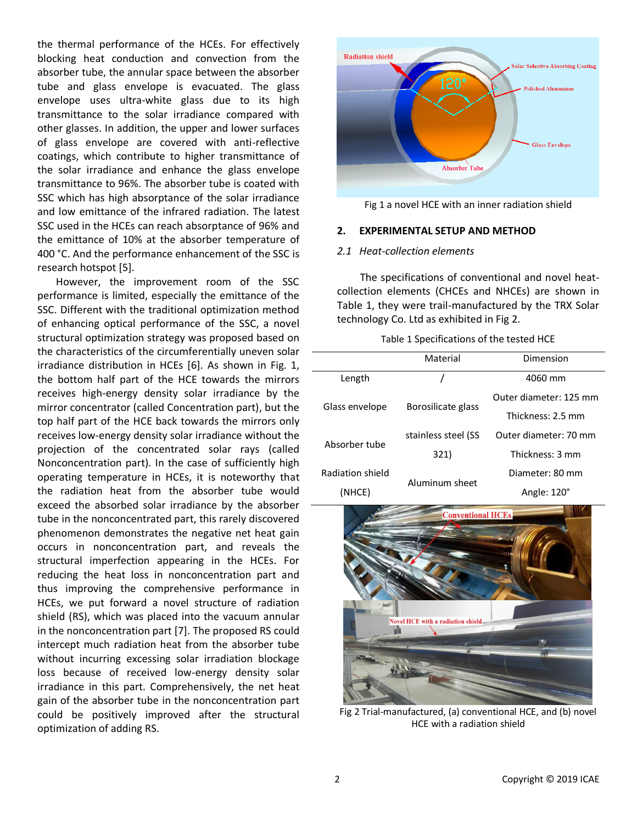the thermal performance of the HCEs. For effectively blocking heat conduction and convection from the absorber tube, the annular space between the absorber tube and glass envelope is evacuated. The glass envelope uses ultra-white glass due to its high transmittance to the solar irradiance compared with other glasses. In addition, the upper and lower surfaces of glass envelope are covered with anti-reflective coatings, which contribute to higher transmittance of the solar irradiance and enhance the glass envelope transmittance to 96%. The absorber tube is coated with SSC which has high absorptance of the solar irradiance and low emittance of the infrared radiation. The latest SSC used in the HCEs can reach absorptance of 96% and the emittance of 10% at the absorber temperature of 400 °C. And the performance enhancement of the SSC is research hotspot [5].

However, the improvement room of the SSC performance is limited, especially the emittance of the SSC. Different with the traditional optimization method of enhancing optical performance of the SSC, a novel structural optimization strategy was proposed based on the characteristics of the circumferentially uneven solar irradiance distribution in HCEs [6]. As shown in Fig. 1, the bottom half part of the HCE towards the mirrors receives high-energy density solar irradiance by the mirror concentrator (called Concentration part), but the top half part of the HCE back towards the mirrors only receives low-energy density solar irradiance without the projection of the concentrated solar rays (called Nonconcentration part). In the case of sufficiently high operating temperature in HCEs, it is noteworthy that the radiation heat from the absorber tube would exceed the absorbed solar irradiance by the absorber tube in the nonconcentrated part, this rarely discovered phenomenon demonstrates the negative net heat gain occurs in nonconcentration part, and reveals the structural imperfection appearing in the HCEs. For reducing the heat loss in nonconcentration part and thus improving the comprehensive performance in HCEs, we put forward a novel structure of radiation shield (RS), which was placed into the vacuum annular in the nonconcentration part [7]. The proposed RS could intercept much radiation heat from the absorber tube without incurring excessing solar irradiation blockage loss because of received low-energy density solar irradiance in this part. Comprehensively, the net heat gain of the absorber tube in the nonconcentration part could be positively improved after the structural optimization of adding RS.



Fig 1 a novel HCE with an inner radiation shield

## **2. EXPERIMENTAL SETUP AND METHOD**

# *2.1 Heat-collection elements*

The specifications of conventional and novel heatcollection elements (CHCEs and NHCEs) are shown in Table 1, they were trail-manufactured by the TRX Solar technology Co. Ltd as exhibited in Fig 2.

|                  | Material<br>Dimension |                        |  |
|------------------|-----------------------|------------------------|--|
| Length           |                       | 4060 mm                |  |
| Glass envelope   |                       | Outer diameter: 125 mm |  |
|                  | Borosilicate glass    | Thickness: 2.5 mm      |  |
| Absorber tube    | stainless steel (SS   | Outer diameter: 70 mm  |  |
|                  | 321)                  | Thickness: 3 mm        |  |
| Radiation shield |                       | Diameter: 80 mm        |  |
| (NHCE)           | Aluminum sheet        | Angle: 120°            |  |



Fig 2 Trial-manufactured, (a) conventional HCE, and (b) novel HCE with a radiation shield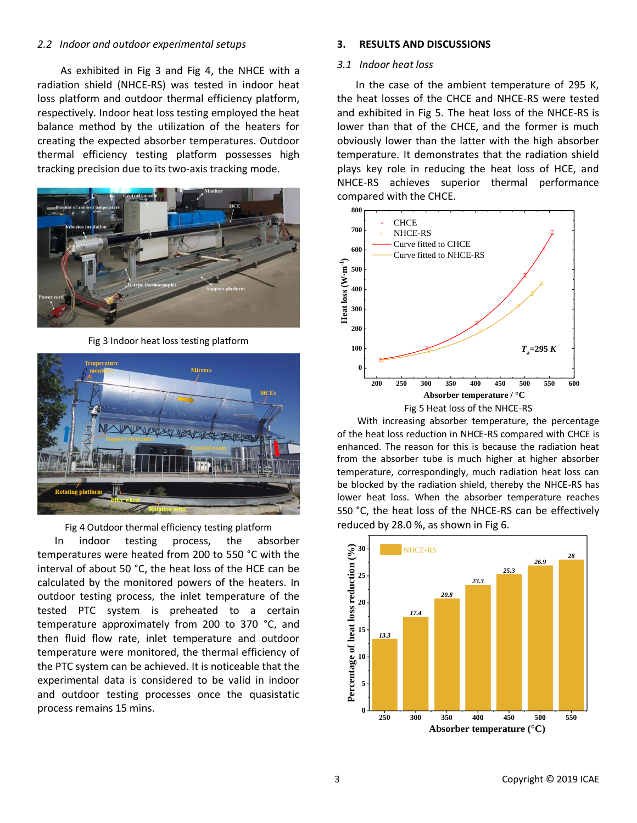#### *2.2 Indoor and outdoor experimental setups*

As exhibited in Fig 3 and Fig 4, the NHCE with a radiation shield (NHCE-RS) was tested in indoor heat loss platform and outdoor thermal efficiency platform, respectively. Indoor heat loss testing employed the heat balance method by the utilization of the heaters for creating the expected absorber temperatures. Outdoor thermal efficiency testing platform possesses high tracking precision due to its two-axis tracking mode.



Fig 3 Indoor heat loss testing platform



Fig 4 Outdoor thermal efficiency testing platform

 In indoor testing process, the absorber temperatures were heated from 200 to 550 °C with the interval of about 50 °C, the heat loss of the HCE can be calculated by the monitored powers of the heaters. In outdoor testing process, the inlet temperature of the tested PTC system is preheated to a certain temperature approximately from 200 to 370 °C, and then fluid flow rate, inlet temperature and outdoor temperature were monitored, the thermal efficiency of the PTC system can be achieved. It is noticeable that the experimental data is considered to be valid in indoor and outdoor testing processes once the quasistatic process remains 15 mins.

#### **3. RESULTS AND DISCUSSIONS**

#### *3.1 Indoor heat loss*

In the case of the ambient temperature of 295 K, the heat losses of the CHCE and NHCE-RS were tested and exhibited in Fig 5. The heat loss of the NHCE-RS is lower than that of the CHCE, and the former is much obviously lower than the latter with the high absorber temperature. It demonstrates that the radiation shield plays key role in reducing the heat loss of HCE, and NHCE-RS achieves superior thermal performance compared with the CHCE.



With increasing absorber temperature, the percentage of the heat loss reduction in NHCE-RS compared with CHCE is enhanced. The reason for this is because the radiation heat from the absorber tube is much higher at higher absorber temperature, correspondingly, much radiation heat loss can be blocked by the radiation shield, thereby the NHCE-RS has lower heat loss. When the absorber temperature reaches 550 °C, the heat loss of the NHCE-RS can be effectively reduced by 28.0 %, as shown in Fig 6.